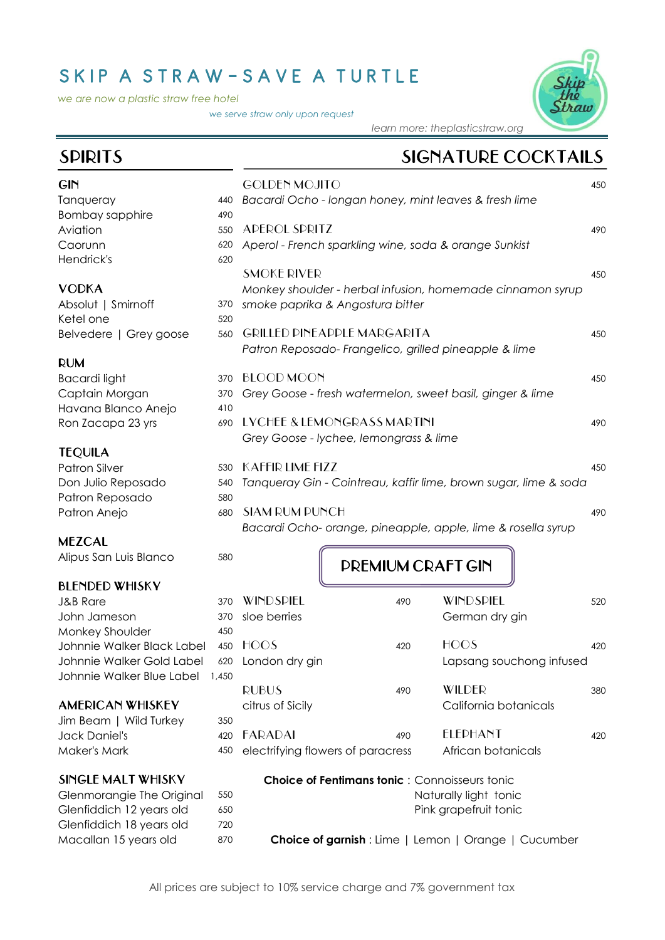## SKIP A STRAW-SAVE A TURTLE

*we are now a plastic straw free hotel*

*we serve straw only upon request*



*learn more: theplasticstraw.org* 

## SPIRITS SIGNATURE COCKTAILS

| Bacardi Ocho - longan honey, mint leaves & fresh lime<br>Tanqueray<br>440<br><b>Bombay sapphire</b><br>490<br>APEROL SPRITZ<br>Aviation<br>550<br>490<br>Caorunn<br>Aperol - French sparkling wine, soda & orange Sunkist<br>620<br>Hendrick's<br>620<br><b>SMOKE RIVER</b><br>450<br><b>VODKA</b><br>Monkey shoulder - herbal infusion, homemade cinnamon syrup<br>smoke paprika & Angostura bitter<br>Absolut   Smirnoff<br>370<br>Ketel one<br>520<br><b>GRILLED PINEAPPLE MARGARITA</b><br>Belvedere   Grey goose<br>560<br>450<br>Patron Reposado-Frangelico, grilled pineapple & lime<br><b>RUM</b><br><b>BLOOD MOON</b><br><b>Bacardi light</b><br>450<br>370<br>Captain Morgan<br>Grey Goose - fresh watermelon, sweet basil, ginger & lime<br>370 |
|------------------------------------------------------------------------------------------------------------------------------------------------------------------------------------------------------------------------------------------------------------------------------------------------------------------------------------------------------------------------------------------------------------------------------------------------------------------------------------------------------------------------------------------------------------------------------------------------------------------------------------------------------------------------------------------------------------------------------------------------------------|
|                                                                                                                                                                                                                                                                                                                                                                                                                                                                                                                                                                                                                                                                                                                                                            |
|                                                                                                                                                                                                                                                                                                                                                                                                                                                                                                                                                                                                                                                                                                                                                            |
|                                                                                                                                                                                                                                                                                                                                                                                                                                                                                                                                                                                                                                                                                                                                                            |
|                                                                                                                                                                                                                                                                                                                                                                                                                                                                                                                                                                                                                                                                                                                                                            |
|                                                                                                                                                                                                                                                                                                                                                                                                                                                                                                                                                                                                                                                                                                                                                            |
|                                                                                                                                                                                                                                                                                                                                                                                                                                                                                                                                                                                                                                                                                                                                                            |
|                                                                                                                                                                                                                                                                                                                                                                                                                                                                                                                                                                                                                                                                                                                                                            |
|                                                                                                                                                                                                                                                                                                                                                                                                                                                                                                                                                                                                                                                                                                                                                            |
|                                                                                                                                                                                                                                                                                                                                                                                                                                                                                                                                                                                                                                                                                                                                                            |
|                                                                                                                                                                                                                                                                                                                                                                                                                                                                                                                                                                                                                                                                                                                                                            |
|                                                                                                                                                                                                                                                                                                                                                                                                                                                                                                                                                                                                                                                                                                                                                            |
|                                                                                                                                                                                                                                                                                                                                                                                                                                                                                                                                                                                                                                                                                                                                                            |
|                                                                                                                                                                                                                                                                                                                                                                                                                                                                                                                                                                                                                                                                                                                                                            |
|                                                                                                                                                                                                                                                                                                                                                                                                                                                                                                                                                                                                                                                                                                                                                            |
| Havana Blanco Anejo<br>410                                                                                                                                                                                                                                                                                                                                                                                                                                                                                                                                                                                                                                                                                                                                 |
| LYCHEE & LEMONGRASS MARTINI<br>Ron Zacapa 23 yrs<br>690<br>490                                                                                                                                                                                                                                                                                                                                                                                                                                                                                                                                                                                                                                                                                             |
| Grey Goose - lychee, lemongrass & lime                                                                                                                                                                                                                                                                                                                                                                                                                                                                                                                                                                                                                                                                                                                     |
| <b>TEQUILA</b>                                                                                                                                                                                                                                                                                                                                                                                                                                                                                                                                                                                                                                                                                                                                             |
| <b>KAFFIR LIME FIZZ</b><br><b>Patron Silver</b><br>450<br>530                                                                                                                                                                                                                                                                                                                                                                                                                                                                                                                                                                                                                                                                                              |
| Don Julio Reposado<br>Tanqueray Gin - Cointreau, kaffir lime, brown sugar, lime & soda<br>540                                                                                                                                                                                                                                                                                                                                                                                                                                                                                                                                                                                                                                                              |
| Patron Reposado<br>580                                                                                                                                                                                                                                                                                                                                                                                                                                                                                                                                                                                                                                                                                                                                     |
| <b>SIAM RUM PUNCH</b><br>Patron Anejo<br>680<br>490                                                                                                                                                                                                                                                                                                                                                                                                                                                                                                                                                                                                                                                                                                        |
| Bacardi Ocho- orange, pineapple, apple, lime & rosella syrup                                                                                                                                                                                                                                                                                                                                                                                                                                                                                                                                                                                                                                                                                               |
| <b>MEZCAL</b>                                                                                                                                                                                                                                                                                                                                                                                                                                                                                                                                                                                                                                                                                                                                              |
| Alipus San Luis Blanco<br>580<br><b>PREMIUM CRAFT GIN</b>                                                                                                                                                                                                                                                                                                                                                                                                                                                                                                                                                                                                                                                                                                  |
|                                                                                                                                                                                                                                                                                                                                                                                                                                                                                                                                                                                                                                                                                                                                                            |
| <b>BLENDED WHISKY</b>                                                                                                                                                                                                                                                                                                                                                                                                                                                                                                                                                                                                                                                                                                                                      |
| WINDSPIEL<br>WINDSPIEL<br><b>J&amp;B Rare</b><br>370<br>490<br>520                                                                                                                                                                                                                                                                                                                                                                                                                                                                                                                                                                                                                                                                                         |
| sloe berries<br>John Jameson<br>German dry gin<br>370                                                                                                                                                                                                                                                                                                                                                                                                                                                                                                                                                                                                                                                                                                      |
| Monkey Shoulder<br>450<br>HOOS<br><b>HOOS</b>                                                                                                                                                                                                                                                                                                                                                                                                                                                                                                                                                                                                                                                                                                              |
| Johnnie Walker Black Label<br>450<br>420<br>420                                                                                                                                                                                                                                                                                                                                                                                                                                                                                                                                                                                                                                                                                                            |
| Johnnie Walker Gold Label<br>620<br>London dry gin<br>Lapsang souchong infused                                                                                                                                                                                                                                                                                                                                                                                                                                                                                                                                                                                                                                                                             |
| Johnnie Walker Blue Label<br>1,450<br>WILDER<br><b>RUBUS</b><br>490                                                                                                                                                                                                                                                                                                                                                                                                                                                                                                                                                                                                                                                                                        |
| 380<br><b>AMERICAN WHISKEY</b><br>California botanicals                                                                                                                                                                                                                                                                                                                                                                                                                                                                                                                                                                                                                                                                                                    |
| citrus of Sicily                                                                                                                                                                                                                                                                                                                                                                                                                                                                                                                                                                                                                                                                                                                                           |
| Jim Beam   Wild Turkey<br>350<br><b>ELEPHANT</b><br><b>FARADAI</b><br><b>Jack Daniel's</b><br>420<br>490<br>420                                                                                                                                                                                                                                                                                                                                                                                                                                                                                                                                                                                                                                            |
| Maker's Mark<br>African botanicals                                                                                                                                                                                                                                                                                                                                                                                                                                                                                                                                                                                                                                                                                                                         |
| electrifying flowers of paracress<br>450                                                                                                                                                                                                                                                                                                                                                                                                                                                                                                                                                                                                                                                                                                                   |
| SINGLE MALT WHISKY<br><b>Choice of Fentimans tonic: Connoisseurs tonic</b>                                                                                                                                                                                                                                                                                                                                                                                                                                                                                                                                                                                                                                                                                 |
| Naturally light tonic<br>Glenmorangie The Original<br>550                                                                                                                                                                                                                                                                                                                                                                                                                                                                                                                                                                                                                                                                                                  |
| Glenfiddich 12 years old<br>Pink grapefruit tonic<br>650                                                                                                                                                                                                                                                                                                                                                                                                                                                                                                                                                                                                                                                                                                   |
| Glenfiddich 18 years old<br>720                                                                                                                                                                                                                                                                                                                                                                                                                                                                                                                                                                                                                                                                                                                            |
| Macallan 15 years old<br>870<br><b>Choice of garnish</b> : Lime   Lemon   Orange   Cucumber                                                                                                                                                                                                                                                                                                                                                                                                                                                                                                                                                                                                                                                                |